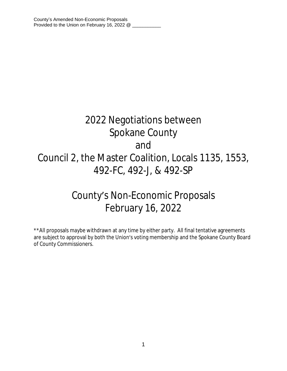# 2022 Negotiations between Spokane County and Council 2, the Master Coalition, Locals 1135, 1553, 492-FC, 492-J, & 492-SP

## County's Non-Economic Proposals February 16, 2022

\*\*All proposals maybe withdrawn at any time by either party. All final tentative agreements are subject to approval by both the Union's voting membership and the Spokane County Board of County Commissioners.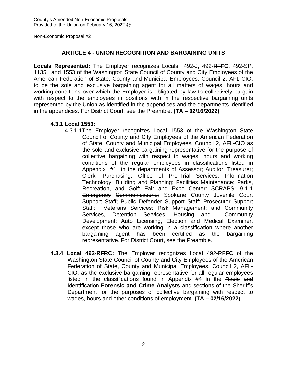## **ARTICLE 4 - UNION RECOGNITION AND BARGAINING UNITS**

**Locals Represented:** The Employer recognizes Locals 492-J, 492-RF**FC**, 492-SP, 1135, and 1553 of the Washington State Council of County and City Employees of the American Federation of State, County and Municipal Employees, Council 2, AFL-CIO, to be the sole and exclusive bargaining agent for all matters of wages, hours and working conditions over which the Employer is obligated by law to collectively bargain with respect to the employees in positions with in the respective bargaining units represented by the Union as identified in the appendices and the departments identified in the appendices. For District Court, see the Preamble. **(TA – 02/16/2022)**

#### **4.3.1 Local 1553:**

- 4.3.1.1The Employer recognizes Local 1553 of the Washington State Council of County and City Employees of the American Federation of State, County and Municipal Employees, Council 2, AFL-CIO as the sole and exclusive bargaining representative for the purpose of collective bargaining with respect to wages, hours and working conditions of the regular employees in classifications listed in Appendix #1 in the departments of Assessor; Auditor; Treasurer; Clerk, Purchasing; Office of Pre-Trial Services; Information Technology; Building and Planning; Facilities Maintenance; Parks, Recreation, and Golf; Fair and Expo Center: SCRAPS; 9-1-1 Emergency Communications; Spokane County Juvenile Court Support Staff; Public Defender Support Staff; Prosecutor Support Staff; Veterans Services; Risk Management; and Community Services, Detention Services, Housing and Community Development: Auto Licensing, Election and Medical Examiner, except those who are working in a classification where another bargaining agent has been certified as the bargaining representative. For District Court, see the Preamble.
- **4.3.4 Local 492-RFRC:** The Employer recognizes Local 492-RF**FC** of the Washington State Council of County and City Employees of the American Federation of State, County and Municipal Employees, Council 2, AFL-CIO, as the exclusive bargaining representative for all regular employees listed in the classifications found in Appendix #4 in the Radio and Identification **Forensic and Crime Analysts** and sections of the Sheriff's Department for the purposes of collective bargaining with respect to wages, hours and other conditions of employment. **(TA – 02/16/2022)**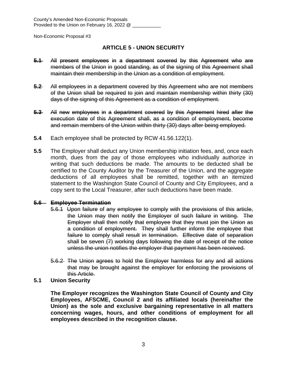## **ARTICLE 5 - UNION SECURITY**

- **5.1** All present employees in a department covered by this Agreement who are members of the Union in good standing, as of the signing of this Agreement shall maintain their membership in the Union as a condition of employment.
- **5.2** All employees in a department covered by this Agreement who are not members of the Union shall be required to join and maintain membership within thirty (30) days of the signing of this Agreement as a condition of employment.
- **5.3** All new employees in a department covered by this Agreement hired after the execution date of this Agreement shall, as a condition of employment, become and remain members of the Union within thirty (30) days after being employed.
- **5.4** Each employee shall be protected by RCW 41.56.122(1).
- **5.5** The Employer shall deduct any Union membership initiation fees, and, once each month, dues from the pay of those employees who individually authorize in writing that such deductions be made. The amounts to be deducted shall be certified to the County Auditor by the Treasurer of the Union, and the aggregate deductions of all employees shall be remitted, together with an itemized statement to the Washington State Council of County and City Employees, and a copy sent to the Local Treasurer, after such deductions have been made.

#### **5.6 Employee Termination**

- 5.6.1 Upon failure of any employee to comply with the provisions of this article, the Union may then notify the Employer of such failure in writing. The Employer shall then notify that employee that they must join the Union as a condition of employment. They shall further inform the employee that failure to comply shall result in termination. Effective date of separation shall be seven (7) working days following the date of receipt of the notice unless the union notifies the employer that payment has been received.
- 5.6.2 The Union agrees to hold the Employer harmless for any and all actions that may be brought against the employer for enforcing the provisions of this Article.
- **5.1 Union Security**

**The Employer recognizes the Washington State Council of County and City Employees, AFSCME, Council 2 and its affiliated locals (hereinafter the Union) as the sole and exclusive bargaining representative in all matters concerning wages, hours, and other conditions of employment for all employees described in the recognition clause.**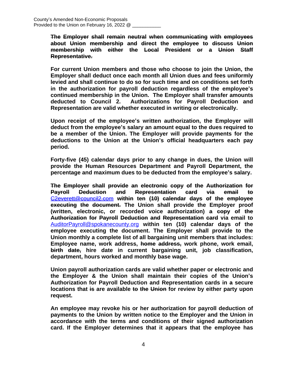**The Employer shall remain neutral when communicating with employees about Union membership and direct the employee to discuss Union membership with either the Local President or a Union Staff Representative.**

**For current Union members and those who choose to join the Union, the Employer shall deduct once each month all Union dues and fees uniformly levied and shall continue to do so for such time and on conditions set forth in the authorization for payroll deduction regardless of the employee's continued membership in the Union. The Employer shall transfer amounts deducted to Council 2. Authorizations for Payroll Deduction and Representation are valid whether executed in writing or electronically.**

**Upon receipt of the employee's written authorization, the Employer will deduct from the employee's salary an amount equal to the dues required to be a member of the Union. The Employer will provide payments for the deductions to the Union at the Union's official headquarters each pay period.** 

**Forty-five (45) calendar days prior to any change in dues, the Union will provide the Human Resources Department and Payroll Department, the percentage and maximum dues to be deducted from the employee's salary.**

**The Employer shall provide an electronic copy of the Authorization for Payroll Deduction and Representation card via email to** [C2everett@council2.com](mailto:C2everett@council2.com) **within ten (10) calendar days of the employee executing the document. The Union shall provide the Employer proof (written, electronic, or recorded voice authorization) a copy of the Authorization for Payroll Deduction and Representation card via email to** [AuditorPayroll@spokanecounty.org](mailto:AuditorPayroll@spokanecounty.org) **within ten (10) calendar days of the employee executing the document. The Employer shall provide to the Union monthly a complete list of all bargaining unit members that includes: Employee name, work address, home address, work phone, work email, birth date, hire date in current bargaining unit, job classification, department, hours worked and monthly base wage.**

**Union payroll authorization cards are valid whether paper or electronic and the Employer & the Union shall maintain their copies of the Union's Authorization for Payroll Deduction and Representation cards in a secure locations that is are available to the Union for review by either party upon request.**

**An employee may revoke his or her authorization for payroll deduction of payments to the Union by written notice to the Employer and the Union in accordance with the terms and conditions of their signed authorization card. If the Employer determines that it appears that the employee has**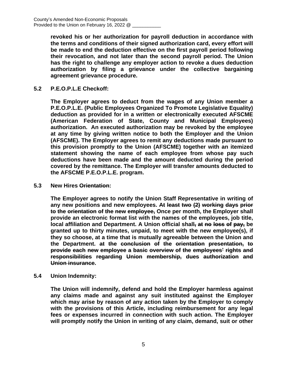**revoked his or her authorization for payroll deduction in accordance with the terms and conditions of their signed authorization card, every effort will be made to end the deduction effective on the first payroll period following their revocation, and not later than the second payroll period. The Union has the right to challenge any employer action to revoke a dues deduction authorization by filing a grievance under the collective bargaining agreement grievance procedure.**

**5.2 P.E.O.P.L.E Checkoff:**

**The Employer agrees to deduct from the wages of any Union member a P.E.O.P.L.E. (Public Employees Organized To Promote Legislative Equality) deduction as provided for in a written or electronically executed AFSCME (American Federation of State, County and Municipal Employees) authorization. An executed authorization may be revoked by the employee at any time by giving written notice to both the Employer and the Union (AFSCME). The Employer agrees to remit any deductions made pursuant to this provision promptly to the Union (AFSCME) together with an itemized statement showing the name of each employee from whose pay such deductions have been made and the amount deducted during the period covered by the remittance. The Employer will transfer amounts deducted to the AFSCME P.E.O.P.L.E. program.**

**5.3 New Hires Orientation:**

**The Employer agrees to notify the Union Staff Representative in writing of any new positions and new employees. At least two (2) working days prior to the orientation of the new employee, Once per month, the Employer shall provide an electronic format list with the names of the employees, job title, local affiliation and Department. A Union official shall, at no loss of pay, be granted up to thirty minutes, unpaid, to meet with the new employee(s), if they so choose, at a time that is mutually agreeable between the Union and the Department. at the conclusion of the orientation presentation, to provide each new employee a basic overview of the employees' rights and responsibilities regarding Union membership, dues authorization and Union insurance.**

**5.4 Union Indemnity:**

**The Union will indemnify, defend and hold the Employer harmless against any claims made and against any suit instituted against the Employer which may arise by reason of any action taken by the Employer to comply with the provisions of this Article, including reimbursement for any legal fees or expenses incurred in connection with such action. The Employer will promptly notify the Union in writing of any claim, demand, suit or other**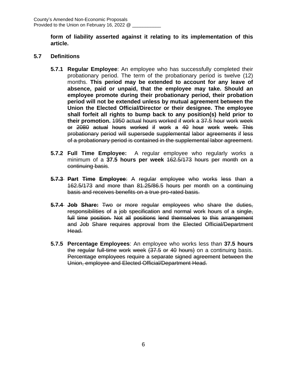**form of liability asserted against it relating to its implementation of this article.**

## **5.7 Definitions**

- **5.7.1 Regular Employee**: An employee who has successfully completed their probationary period. The term of the probationary period is twelve (12) months. **This period may be extended to account for any leave of absence, paid or unpaid, that the employee may take. Should an employee promote during their probationary period, their probation period will not be extended unless by mutual agreement between the Union the Elected Official/Director or their designee. The employee shall forfeit all rights to bump back to any position(s) held prior to their promotion.** 1950 actual hours worked if work a 37.5 hour work week or 2080 actual hours worked if work a 40 hour work week. This probationary period will supersede supplemental labor agreements if less of a probationary period is contained in the supplemental labor agreement.
- **5.7.2 Full Time Employee:** A regular employee who regularly works a minimum of a **37.5 hours per week** 162.5/173 hours per month on a continuing basis.
- **5.7.3 Part Time Employee**: A regular employee who works less than a 162.5/173 and more than 81.25/86.5 hours per month on a continuing basis and receives benefits on a true pro-rated basis.
- **5.7.4 Job Share:** Two or more regular employees who share the duties, responsibilities of a job specification and normal work hours of a single, full time position. Not all positions lend themselves to this arrangement and Job Share requires approval from the Elected Official/Department Head.
- **5.7.5 Percentage Employees**: An employee who works less than **37.5 hours** the regular full-time work week (37.5 or 40 hours) on a continuing basis. Percentage employees require a separate signed agreement between the Union, employee and Elected Official/Department Head.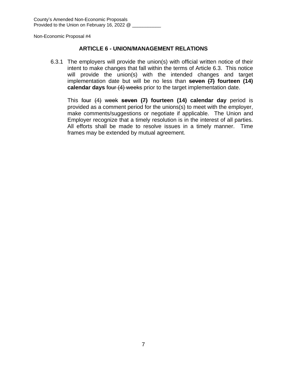## **ARTICLE 6 - UNION/MANAGEMENT RELATIONS**

6.3.1 The employers will provide the union(s) with official written notice of their intent to make changes that fall within the terms of Article 6.3. This notice will provide the union(s) with the intended changes and target implementation date but will be no less than **seven (7) fourteen (14) calendar days** four (4) weeks prior to the target implementation date.

This four (4) week **seven (7) fourteen (14) calendar day** period is provided as a comment period for the unions(s) to meet with the employer, make comments/suggestions or negotiate if applicable. The Union and Employer recognize that a timely resolution is in the interest of all parties. All efforts shall be made to resolve issues in a timely manner. Time frames may be extended by mutual agreement.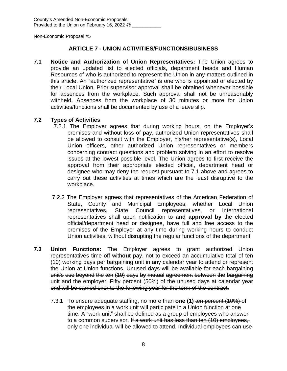## **ARTICLE 7 - UNION ACTIVITIES/FUNCTIONS/BUSINESS**

**7.1 Notice and Authorization of Union Representatives:** The Union agrees to provide an updated list to elected officials, department heads and Human Resources of who is authorized to represent the Union in any matters outlined in this article. An "authorized representative" is one who is appointed or elected by their Local Union. Prior supervisor approval shall be obtained whenever possible for absences from the workplace. Such approval shall not be unreasonably withheld. Absences from the workplace of 30 minutes or more for Union activities/functions shall be documented by use of a leave slip.

## **7.2 Types of Activities**

- 7.2.1 The Employer agrees that during working hours, on the Employer's premises and without loss of pay, authorized Union representatives shall be allowed to consult with the Employer, his/her representative(s), Local Union officers, other authorized Union representatives or members concerning contract questions and problem solving in an effort to resolve issues at the lowest possible level. The Union agrees to first receive the approval from their appropriate elected official, department head or designee who may deny the request pursuant to 7.1 above and agrees to carry out these activities at times which are the least disruptive to the workplace.
- 7.2.2 The Employer agrees that representatives of the American Federation of State, County and Municipal Employees, whether Local Union representatives, State Council representatives, or International representatives shall upon notification to **and approval by** the elected official/department head or designee, have full and free access to the premises of the Employer at any time during working hours to conduct Union activities, without disrupting the regular functions of the department.
- **7.3 Union Functions:** The Employer agrees to grant authorized Union representatives time off with**out** pay, not to exceed an accumulative total of ten (10) working days per bargaining unit in any calendar year to attend or represent the Union at Union functions. Unused days will be available for each bargaining unit's use beyond the ten (10) days by mutual agreement between the bargaining unit and the employer. Fifty percent (50%) of the unused days at calendar year end will be carried over to the following year for the term of the contract.
	- 7.3.1 To ensure adequate staffing, no more than **one (1)** ten percent (10%) of the employees in a work unit will participate in a Union function at one time. A "work unit" shall be defined as a group of employees who answer to a common supervisor. If a work unit has less than ten (10) employees, only one individual will be allowed to attend. Individual employees can use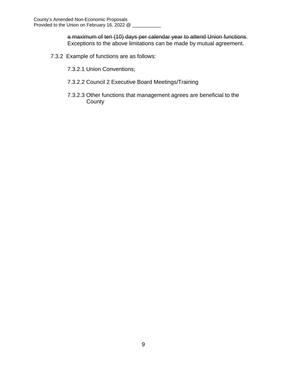a maximum of ten (10) days per calendar year to attend Union functions. Exceptions to the above limitations can be made by mutual agreement.

- 7.3.2 Example of functions are as follows:
	- 7.3.2.1 Union Conventions;
	- 7.3.2.2 Council 2 Executive Board Meetings/Training
	- 7.3.2.3 Other functions that management agrees are beneficial to the **County**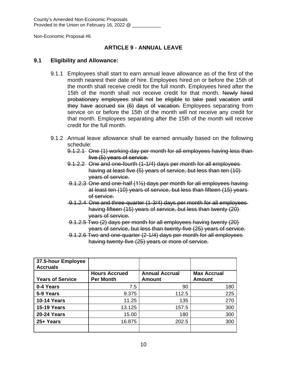County's Amended Non-Economic Proposals Provided to the Union on February 16, 2022 @ \_\_\_\_\_\_\_\_

Non-Economic Proposal #6

## **ARTICLE 9 - ANNUAL LEAVE**

#### **9.1 Eligibility and Allowance:**

- 9.1.1 Employees shall start to earn annual leave allowance as of the first of the month nearest their date of hire. Employees hired on or before the 15th of the month shall receive credit for the full month. Employees hired after the 15th of the month shall not receive credit for that month. Newly hired probationary employees shall not be eligible to take paid vacation until they have accrued six (6) days of vacation. Employees separating from service on or before the 15th of the month will not receive any credit for that month. Employees separating after the 15th of the month will receive credit for the full month.
- 9.1.2 Annual leave allowance shall be earned annually based on the following schedule:
	- 9.1.2.1 One (1) working day per month for all employees having less than five (5) years of service.
	- 9.1.2.2 One and one-fourth (1-1/4) days per month for all employees having at least five (5) years of service, but less than ten (10) years of service.
	- 9.1.2.3 One and one-half (1½) days per month for all employees having at least ten (10) years of service, but less than fifteen (15) years of service.
	- 9.1.2.4 One and three-quarter (1-3/4) days per month for all employees having fifteen (15) years of service, but less than twenty (20) years of service.
	- 9.1.2.5 Two (2) days per month for all employees having twenty (20) years of service, but less than twenty-five (25) years of service.
	- 9.1.2.6 Two and one-quarter (2-1/4) days per month for all employees having twenty-five (25) years or more of service.

| 37.5-hour Employee<br><b>Accruals</b> |                                          |                                 |                                     |
|---------------------------------------|------------------------------------------|---------------------------------|-------------------------------------|
| <b>Years of Service</b>               | <b>Hours Accrued</b><br><b>Per Month</b> | <b>Annual Accrual</b><br>Amount | <b>Max Accrual</b><br><b>Amount</b> |
| 0-4 Years                             | 7.5                                      | 90                              | 180                                 |
| 5-9 Years                             | 9.375                                    | 112.5                           | 225                                 |
| <b>10-14 Years</b>                    | 11.25                                    | 135                             | 270                                 |
| <b>15-19 Years</b>                    | 13.125                                   | 157.5                           | 300                                 |
| <b>20-24 Years</b>                    | 15.00                                    | 180                             | 300                                 |
| 25+ Years                             | 16.875                                   | 202.5                           | 300                                 |
|                                       |                                          |                                 |                                     |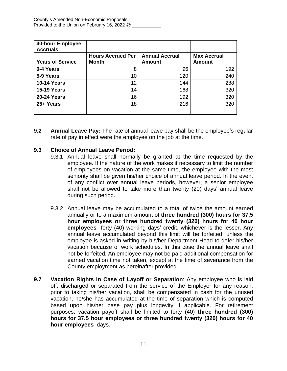| 40-hour Employee<br><b>Accruals</b> |                                          |                                 |                                     |
|-------------------------------------|------------------------------------------|---------------------------------|-------------------------------------|
| <b>Years of Service</b>             | <b>Hours Accrued Per</b><br><b>Month</b> | <b>Annual Accrual</b><br>Amount | <b>Max Accrual</b><br><b>Amount</b> |
| 0-4 Years                           | 8                                        | 96                              | 192                                 |
| 5-9 Years                           | 10                                       | 120                             | 240                                 |
| <b>10-14 Years</b>                  | 12                                       | 144                             | 288                                 |
| <b>15-19 Years</b>                  | 14                                       | 168                             | 320                                 |
| <b>20-24 Years</b>                  | 16                                       | 192                             | 320                                 |
| 25+ Years                           | 18                                       | 216                             | 320                                 |
|                                     |                                          |                                 |                                     |

**9.2 Annual Leave Pay:** The rate of annual leave pay shall be the employee's regular rate of pay in effect were the employee on the job at the time.

## **9.3 Choice of Annual Leave Period:**

- 9.3.1 Annual leave shall normally be granted at the time requested by the employee. If the nature of the work makes it necessary to limit the number of employees on vacation at the same time, the employee with the most seniority shall be given his/her choice of annual leave period. In the event of any conflict over annual leave periods, however, a senior employee shall not be allowed to take more than twenty (20) days' annual leave during such period.
- 9.3.2 Annual leave may be accumulated to a total of twice the amount earned annually or to a maximum amount of **three hundred (300) hours for 37.5 hour employees or three hundred twenty (320) hours for 40 hour employees** forty (40) working days' credit, whichever is the lesser. Any annual leave accumulated beyond this limit will be forfeited, unless the employee is asked in writing by his/her Department Head to defer his/her vacation because of work schedules. In this case the annual leave shall not be forfeited. An employee may not be paid additional compensation for earned vacation time not taken, except at the time of severance from the County employment as hereinafter provided.
- **9.7 Vacation Rights in Case of Layoff or Separation**: Any employee who is laid off, discharged or separated from the service of the Employer for any reason, prior to taking his/her vacation, shall be compensated in cash for the unused vacation, he/she has accumulated at the time of separation which is computed based upon his/her base pay plus longevity if applicable. For retirement purposes, vacation payoff shall be limited to forty (40) **three hundred (300) hours for 37.5 hour employees or three hundred twenty (320) hours for 40 hour employees** days.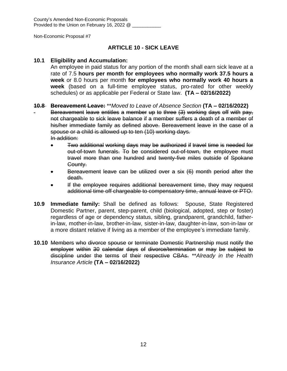## **ARTICLE 10 - SICK LEAVE**

## **10.1 Eligibility and Accumulation:**

An employee in paid status for any portion of the month shall earn sick leave at a rate of 7.5 **hours per month for employees who normally work 37.5 hours a week** or 8.0 hours per month **for employees who normally work 40 hours a week** (based on a full-time employee status, pro-rated for other weekly schedules) or as applicable per Federal or State law. **(TA – 02/16/2022)**

## **10.8 Bereavement Leave:** \*\**Moved to Leave of Absence Section* **(TA – 02/16/2022)**

Bereavement leave entitles a member up to three (3) working days off with pay, not chargeable to sick leave balance if a member suffers a death of a member of his/her immediate family as defined above. Bereavement leave in the case of a spouse or a child is allowed up to ten (10) working days. In addition:

- Two additional working days may be authorized if travel time is needed for out-of-town funerals. To be considered out-of-town, the employee must travel more than one hundred and twenty-five miles outside of Spokane County.
- Bereavement leave can be utilized over a six (6) month period after the death.
- If the employee requires additional bereavement time, they may request additional time off chargeable to compensatory time, annual leave or PTO.
- **10.9 Immediate family:** Shall be defined as follows: Spouse, State Registered Domestic Partner, parent, step-parent, child (biological, adopted, step or foster) regardless of age or dependency status, sibling, grandparent, grandchild, fatherin-law, mother-in-law, brother-in-law, sister-in-law, daughter-in-law, son-in-law or a more distant relative if living as a member of the employee's immediate family.
- **10.10** Members who divorce spouse or terminate Domestic Partnership must notify the employer within 30 calendar days of divorce/termination or may be subject to discipline under the terms of their respective CBAs. \*\**Already in the Health Insurance Article* **(TA – 02/16/2022)**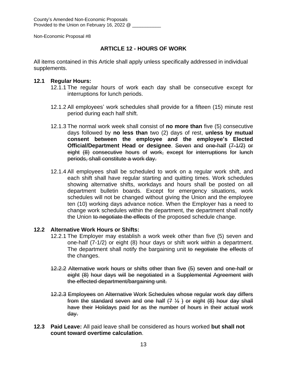## **ARTICLE 12 - HOURS OF WORK**

All items contained in this Article shall apply unless specifically addressed in individual supplements.

## **12.1 Regular Hours:**

- 12.1.1 The regular hours of work each day shall be consecutive except for interruptions for lunch periods.
- 12.1.2 All employees' work schedules shall provide for a fifteen (15) minute rest period during each half shift.
- 12.1.3 The normal work week shall consist of **no more than** five (5) consecutive days followed by **no less than** two (2) days of rest, **unless by mutual consent between the employee and the employee's Elected Official/Department Head or designee**. Seven and one-half (7-1/2) or eight (8) consecutive hours of work, except for interruptions for lunch periods, shall constitute a work day.
- 12.1.4 All employees shall be scheduled to work on a regular work shift, and each shift shall have regular starting and quitting times. Work schedules showing alternative shifts, workdays and hours shall be posted on all department bulletin boards. Except for emergency situations, work schedules will not be changed without giving the Union and the employee ten (10) working days advance notice. When the Employer has a need to change work schedules within the department, the department shall notify the Union to negotiate the effects of the proposed schedule change.

## **12.2 Alternative Work Hours or Shifts:**

- 12.2.1 The Employer may establish a work week other than five (5) seven and one-half (7-1/2) or eight (8) hour days or shift work within a department. The department shall notify the bargaining unit to negotiate the effects of the changes.
- 12.2.2 Alternative work hours or shifts other than five (5) seven and one-half or eight (8) hour days will be negotiated in a Supplemental Agreement with the effected department/bargaining unit.
- 12.2.3 Employees on Alternative Work Schedules whose regular work day differs from the standard seven and one half  $(7, 1/2)$  or eight  $(8)$  hour day shall have their Holidays paid for as the number of hours in their actual work day.
- **12.3 Paid Leave:** All paid leave shall be considered as hours worked **but shall not count toward overtime calculation**.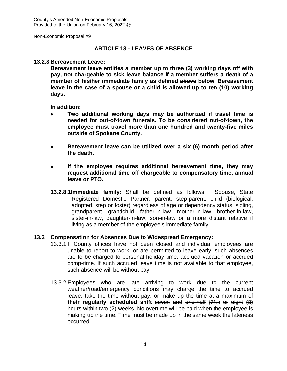## **ARTICLE 13 - LEAVES OF ABSENCE**

#### **13.2.8 Bereavement Leave:**

**Bereavement leave entitles a member up to three (3) working days off with pay, not chargeable to sick leave balance if a member suffers a death of a member of his/her immediate family as defined above below. Bereavement leave in the case of a spouse or a child is allowed up to ten (10) working days.**

**In addition:**

- **Two additional working days may be authorized if travel time is needed for out-of-town funerals. To be considered out-of-town, the employee must travel more than one hundred and twenty-five miles outside of Spokane County.**
- **Bereavement leave can be utilized over a six (6) month period after the death.**
- **If the employee requires additional bereavement time, they may request additional time off chargeable to compensatory time, annual leave or PTO.**
- **13.2.8.1Immediate family:** Shall be defined as follows: Spouse, State Registered Domestic Partner, parent, step-parent, child (biological, adopted, step or foster) regardless of age or dependency status, sibling, grandparent, grandchild, father-in-law, mother-in-law, brother-in-law, sister-in-law, daughter-in-law, son-in-law or a more distant relative if living as a member of the employee's immediate family.

#### **13.3 Compensation for Absences Due to Widespread Emergency:**

- 13.3.1 If County offices have not been closed and individual employees are unable to report to work, or are permitted to leave early, such absences are to be charged to personal holiday time, accrued vacation or accrued comp-time. If such accrued leave time is not available to that employee, such absence will be without pay.
- 13.3.2 Employees who are late arriving to work due to the current weather/road/emergency conditions may charge the time to accrued leave, take the time without pay, or make up the time at a maximum of **their regularly scheduled shift** seven and one-half (7½) or eight (8) hours within two (2) weeks. No overtime will be paid when the employee is making up the time. Time must be made up in the same week the lateness occurred.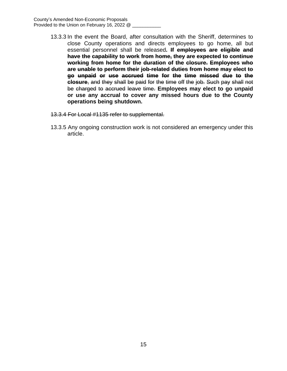- 13.3.3 In the event the Board, after consultation with the Sheriff, determines to close County operations and directs employees to go home, all but essential personnel shall be released**. If employees are eligible and have the capability to work from home, they are expected to continue working from home for the duration of the closure. Employees who are unable to perform their job-related duties from home may elect to go unpaid or use accrued time for the time missed due to the closure**, and they shall be paid for the time off the job. Such pay shall not be charged to accrued leave time. **Employees may elect to go unpaid or use any accrual to cover any missed hours due to the County operations being shutdown.**
- 13.3.4 For Local #1135 refer to supplemental.
- 13.3.5 Any ongoing construction work is not considered an emergency under this article.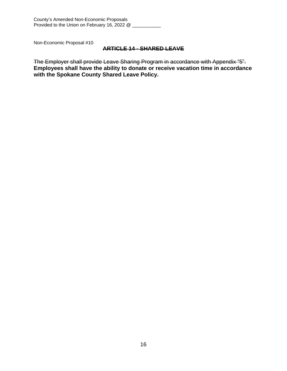#### **ARTICLE 14 - SHARED LEAVE**

The Employer shall provide Leave Sharing Program in accordance with Appendix "5". **Employees shall have the ability to donate or receive vacation time in accordance with the Spokane County Shared Leave Policy.**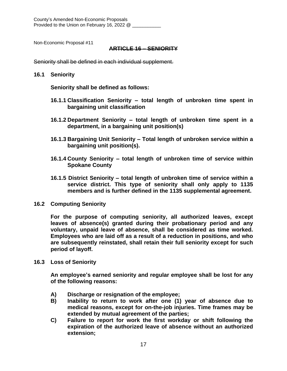#### **ARTICLE 16 – SENIORITY**

Seniority shall be defined in each individual supplement.

#### **16.1 Seniority**

**Seniority shall be defined as follows:**

- **16.1.1 Classification Seniority – total length of unbroken time spent in bargaining unit classification**
- **16.1.2 Department Seniority – total length of unbroken time spent in a department, in a bargaining unit position(s)**
- **16.1.3 Bargaining Unit Seniority – Total length of unbroken service within a bargaining unit position(s).**
- **16.1.4 County Seniority – total length of unbroken time of service within Spokane County**
- **16.1.5 District Seniority – total length of unbroken time of service within a service district. This type of seniority shall only apply to 1135 members and is further defined in the 1135 supplemental agreement.**
- **16.2 Computing Seniority**

**For the purpose of computing seniority, all authorized leaves, except leaves of absence(s) granted during their probationary period and any voluntary, unpaid leave of absence, shall be considered as time worked. Employees who are laid off as a result of a reduction in positions, and who are subsequently reinstated, shall retain their full seniority except for such period of layoff.**

**16.3 Loss of Seniority**

**An employee's earned seniority and regular employee shall be lost for any of the following reasons:**

- **A) Discharge or resignation of the employee;**
- **B) Inability to return to work after one (1) year of absence due to medical reasons, except for on-the-job injuries. Time frames may be extended by mutual agreement of the parties;**
- **C) Failure to report for work the first workday or shift following the expiration of the authorized leave of absence without an authorized extension;**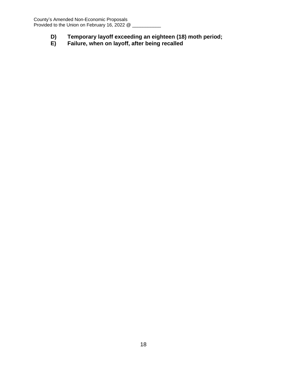- **D) Temporary layoff exceeding an eighteen (18) moth period;**
- **Failure, when on layoff, after being recalled**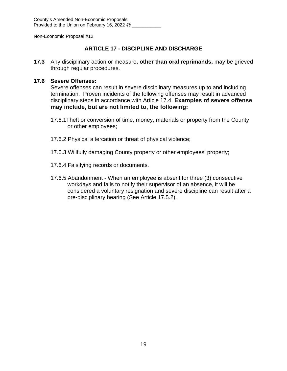## **ARTICLE 17 - DISCIPLINE AND DISCHARGE**

**17.3** Any disciplinary action or measure**, other than oral reprimands,** may be grieved through regular procedures.

## **17.6 Severe Offenses:**

Severe offenses can result in severe disciplinary measures up to and including termination. Proven incidents of the following offenses may result in advanced disciplinary steps in accordance with Article 17.4. **Examples of severe offense may include, but are not limited to, the following:**

- 17.6.1Theft or conversion of time, money, materials or property from the County or other employees;
- 17.6.2 Physical altercation or threat of physical violence;
- 17.6.3 Willfully damaging County property or other employees' property;
- 17.6.4 Falsifying records or documents.
- 17.6.5 Abandonment When an employee is absent for three (3) consecutive workdays and fails to notify their supervisor of an absence, it will be considered a voluntary resignation and severe discipline can result after a pre-disciplinary hearing (See Article 17.5.2).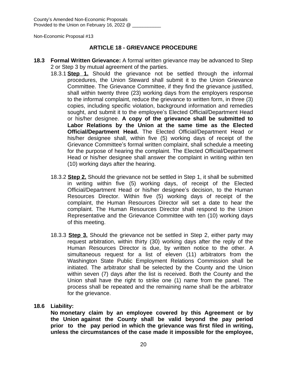County's Amended Non-Economic Proposals Provided to the Union on February 16, 2022 @

Non-Economic Proposal #13

#### **ARTICLE 18 - GRIEVANCE PROCEDURE**

- **18.3 Formal Written Grievance:** A formal written grievance may be advanced to Step 2 or Step 3 by mutual agreement of the parties.
	- 18.3.1 **Step 1.** Should the grievance not be settled through the informal procedures, the Union Steward shall submit it to the Union Grievance Committee. The Grievance Committee, if they find the grievance justified, shall within twenty three (23) working days from the employers response to the informal complaint, reduce the grievance to written form, in three (3) copies, including specific violation, background information and remedies sought, and submit it to the employee's Elected Official/Department Head or his/her designee. **A copy of the grievance shall be submitted to Labor Relations by the Union at the same time as the Elected Official/Department Head.** The Elected Official/Department Head or his/her designee shall, within five (5) working days of receipt of the Grievance Committee's formal written complaint, shall schedule a meeting for the purpose of hearing the complaint. The Elected Official/Department Head or his/her designee shall answer the complaint in writing within ten (10) working days after the hearing.
	- 18.3.2 **Step 2.** Should the grievance not be settled in Step 1, it shall be submitted in writing within five (5) working days, of receipt of the Elected Official/Department Head or his/her designee's decision, to the Human Resources Director. Within five (5) working days of receipt of the complaint, the Human Resources Director will set a date to hear the complaint. The Human Resources Director shall respond to the Union Representative and the Grievance Committee with ten (10) working days of this meeting.
	- 18.3.3 **Step 3.** Should the grievance not be settled in Step 2, either party may request arbitration, within thirty (30) working days after the reply of the Human Resources Director is due, by written notice to the other. A simultaneous request for a list of eleven (11) arbitrators from the Washington State Public Employment Relations Commission shall be initiated. The arbitrator shall be selected by the County and the Union within seven (7) days after the list is received. Both the County and the Union shall have the right to strike one (1) name from the panel. The process shall be repeated and the remaining name shall be the arbitrator for the grievance.

#### **18.6 Liability:**

**No monetary claim by an employee covered by this Agreement or by the Union against the County shall be valid beyond the pay period prior to the pay period in which the grievance was first filed in writing, unless the circumstances of the case made it impossible for the employee,**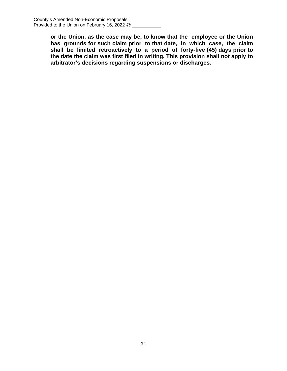**or the Union, as the case may be, to know that the employee or the Union has grounds for such claim prior to that date, in which case, the claim shall be limited retroactively to a period of forty-five (45) days prior to the date the claim was first filed in writing. This provision shall not apply to arbitrator's decisions regarding suspensions or discharges.**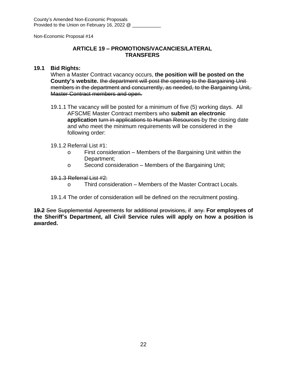## **ARTICLE 19 – PROMOTIONS/VACANCIES/LATERAL TRANSFERS**

## **19.1 Bid Rights:**

When a Master Contract vacancy occurs, **the position will be posted on the County's website.** the department will post the opening to the Bargaining Unit members in the department and concurrently, as needed, to the Bargaining Unit, Master Contract members and open.

19.1.1 The vacancy will be posted for a minimum of five (5) working days. All AFSCME Master Contract members who **submit an electronic application** turn in applications to Human Resources by the closing date and who meet the minimum requirements will be considered in the following order:

## 19.1.2 Referral List #1:

- o First consideration Members of the Bargaining Unit within the Department;
- o Second consideration Members of the Bargaining Unit;

## 19.1.3 Referral List #2:

- o Third consideration Members of the Master Contract Locals.
- 19.1.4 The order of consideration will be defined on the recruitment posting.

**19.2** See Supplemental Agreements for additional provisions, if any. **For employees of the Sheriff's Department, all Civil Service rules will apply on how a position is awarded.**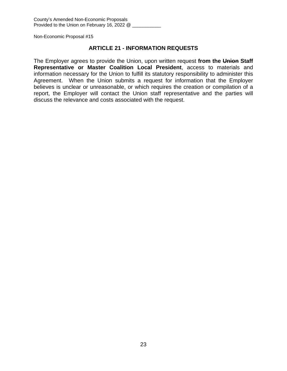#### **ARTICLE 21 - INFORMATION REQUESTS**

The Employer agrees to provide the Union, upon written request **from the Union Staff Representative or Master Coalition Local President**, access to materials and information necessary for the Union to fulfill its statutory responsibility to administer this Agreement. When the Union submits a request for information that the Employer believes is unclear or unreasonable, or which requires the creation or compilation of a report, the Employer will contact the Union staff representative and the parties will discuss the relevance and costs associated with the request.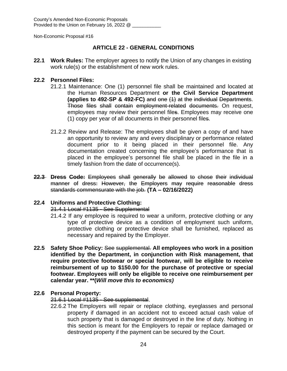County's Amended Non-Economic Proposals Provided to the Union on February 16, 2022 @ \_\_\_\_\_

Non-Economic Proposal #16

## **ARTICLE 22 - GENERAL CONDITIONS**

**22.1 Work Rules:** The employer agrees to notify the Union of any changes in existing work rule(s) or the establishment of new work rules.

#### **22.2 Personnel Files:**

- 21.2.1 Maintenance: One (1) personnel file shall be maintained and located at the Human Resources Department **or the Civil Service Department (applies to 492-SP & 492-FC)** and one (1) at the individual Departments. Those files shall contain employment-related documents. On request, employees may review their personnel files. Employees may receive one (1) copy per year of all documents in their personnel files.
- 21.2.2 Review and Release: The employees shall be given a copy of and have an opportunity to review any and every disciplinary or performance related document prior to it being placed in their personnel file. Any documentation created concerning the employee's performance that is placed in the employee's personnel file shall be placed in the file in a timely fashion from the date of occurrence(s).
- **22.3 Dress Code:** Employees shall generally be allowed to chose their individual manner of dress: However, the Employers may require reasonable dress standards commensurate with the job. **(TA – 02/16/2022)**

## **22.4 Uniforms and Protective Clothing:**

#### 21.4.1 Local #1135 - See Supplemental

- 21.4.2 If any employee is required to wear a uniform, protective clothing or any type of protective device as a condition of employment such uniform, protective clothing or protective device shall be furnished, replaced as necessary and repaired by the Employer.
- **22.5 Safety Shoe Policy:** See supplemental. **All employees who work in a position identified by the Department, in conjunction with Risk management, that require protective footwear or special footwear, will be eligible to receive reimbursement of up to \$150.00 for the purchase of protective or special footwear. Employees will only be eligible to receive one reimbursement per calendar year. \*\*(***Will move this to economics)*

## **22.6 Personal Property:**

21.6.1 Local #1135 - See supplemental.

22.6.2 The Employers will repair or replace clothing, eyeglasses and personal property if damaged in an accident not to exceed actual cash value of such property that is damaged or destroyed in the line of duty. Nothing in this section is meant for the Employers to repair or replace damaged or destroyed property if the payment can be secured by the Court.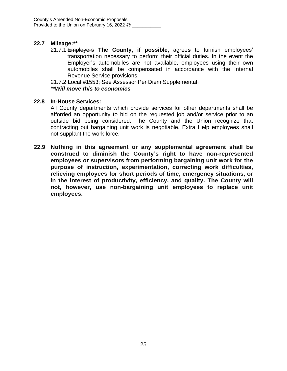## **22.7 Mileage:\*\***

21.7.1 Employers **The County, if possible,** agree**s** to furnish employees' transportation necessary to perform their official duties. In the event the Employer's automobiles are not available, employees using their own automobiles shall be compensated in accordance with the Internal Revenue Service provisions.

21.7.2 Local #1553; See Assessor Per Diem Supplemental. \*\**Will move this to economics*

#### **22.8 In-House Services:**

All County departments which provide services for other departments shall be afforded an opportunity to bid on the requested job and/or service prior to an outside bid being considered. The County and the Union recognize that contracting out bargaining unit work is negotiable. Extra Help employees shall not supplant the work force.

**22.9 Nothing in this agreement or any supplemental agreement shall be construed to diminish the County's right to have non-represented employees or supervisors from performing bargaining unit work for the purpose of instruction, experimentation, correcting work difficulties, relieving employees for short periods of time, emergency situations, or in the interest of productivity, efficiency, and quality. The County will not, however, use non-bargaining unit employees to replace unit employees.**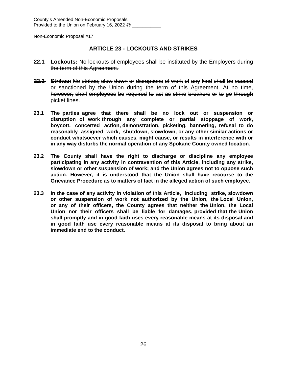## **ARTICLE 23 - LOCKOUTS AND STRIKES**

- **22.1 Lockouts:** No lockouts of employees shall be instituted by the Employers during the term of this Agreement.
- **22.2 Strikes:** No strikes, slow down or disruptions of work of any kind shall be caused or sanctioned by the Union during the term of this Agreement. At no time, however, shall employees be required to act as strike breakers or to go through picket lines.
- **23.1 The parties agree that there shall be no lock out or suspension or disruption of work through any complete or partial stoppage of work, boycott, concerted action, demonstration, picketing, bannering, refusal to do reasonably assigned work, shutdown, slowdown, or any other similar actions or conduct whatsoever which causes, might cause, or results in interference with or in any way disturbs the normal operation of any Spokane County owned location.**
- **23.2 The County shall have the right to discharge or discipline any employee participating in any activity in contravention of this Article, including any strike, slowdown or other suspension of work; and the Union agrees not to oppose such action. However, it is understood that the Union shall have recourse to the Grievance Procedure as to matters of fact in the alleged action of such employee.**
- **23.3 In the case of any activity in violation of this Article, including strike, slowdown or other suspension of work not authorized by the Union, the Local Union, or any of their officers, the County agrees that neither the Union, the Local Union nor their officers shall be liable for damages, provided that the Union shall promptly and in good faith uses every reasonable means at its disposal and in good faith use every reasonable means at its disposal to bring about an immediate end to the conduct.**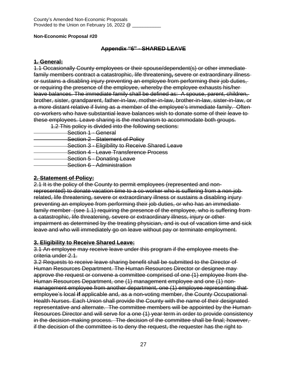## **Appendix "6" - SHARED LEAVE**

#### **1. General:**

1.1 Occasionally County employees or their spouse/dependent(s) or other immediate family members contract a catastrophic, life threatening**,** severe or extraordinary illness or sustains a disabling injury preventing an employee from performing their job duties, or requiring the presence of the employee, whereby the employee exhausts his/her leave balances. The immediate family shall be defined as: A spouse, parent, children, brother, sister, grandparent, father-in-law, mother-in-law, brother-in-law, sister-in-law, or a more distant relative if living as a member of the employee's immediate family. Often co-workers who have substantial leave balances wish to donate some of their leave to these employees. Leave sharing is the mechanism to accommodate both groups.

1.2 This policy is divided into the following sections:

- Section 1 General
- **Section 2 Statement of Policy**
- **Section 3 Eligibility to Receive Shared Leave**
- Section 4 Leave Transference Process
- **Section 5 Donating Leave**
- Section 6 Administration

## **2. Statement of Policy:**

2.1 It is the policy of the County to permit employees (represented and nonrepresented) to donate vacation time to a co-worker who is suffering from a non-job related, life threatening, severe or extraordinary illness or sustains a disabling injury preventing an employee from performing their job duties, or who has an immediate family member (see 1.1) requiring the presence of the employee, who is suffering from a catastrophic, life threatening, severe or extraordinary illness, injury or other impairment as determined by the treating physician, and is out of vacation time and sick leave and who will immediately go on leave without pay or terminate employment.

## **3. Eligibility to Receive Shared Leave:**

3.1 An employee may receive leave under this program if the employee meets the criteria under 2.1.

3.2 Requests to receive leave sharing benefit shall be submitted to the Director of Human Resources Department. The Human Resources Director or designee may approve the request or convene a committee comprised of one (1) employee from the Human Resources Department, one (1) management employee and one (1) nonmanagement employee from another department, one (1) employee representing that employee's local **if** applicable and, as a non-voting member, the County Occupational Health Nurses. Each Union shall provide the County with the name of their designated representative and alternate. The committee members will be appointed by the Human Resources Director and will serve for a one (1) year term in order to provide consistency in the decision-making process. The decision of the committee shall be final; however, if the decision of the committee is to deny the request, the requester has the right to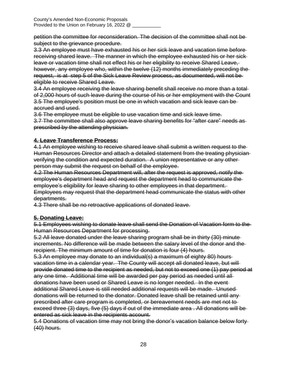petition the committee for reconsideration. The decision of the committee shall not be subject to the grievance procedure.

3.3 An employee must have exhausted his or her sick leave and vacation time before receiving shared leave. The manner in which the employee exhausted his or her sick leave or vacation time shall not effect his or her eligibility to receive Shared Leave, however, any employee who, within the twelve (12) months immediately preceding the request, is at step 5 of the Sick Leave Review process, as documented, will not be eligible to receive Shared Leave.

3.4 An employee receiving the leave sharing benefit shall receive no more than a total of 2,000 hours of such leave during the course of his or her employment with the Count 3.5 The employee's position must be one in which vacation and sick leave can be accrued and used.

3.6 The employee must be eligible to use vacation time and sick leave time.

3.7 The committee shall also approve leave sharing benefits for "after care" needs as prescribed by the attending physician.

## **4. Leave Transference Process:**

4.1 An employee wishing to receive shared leave shall submit a written request to the Human Resources Director and attach a detailed statement from the treating physician verifying the condition and expected duration. A union representative or any other person may submit the request on behalf of the employee.

4.2 The Human Resources Department will, after the request is approved, notify the employee's department head and request the department head to communicate the employee's eligibility for leave sharing to other employees in that department. Employees may request that the department head communicate the status with other departments.

4.3 There shall be no retroactive applications of donated leave.

## **5. Donating Leave:**

5.1 Employees wishing to donate leave shall send the Donation of Vacation form to the Human Resources Department for processing.

5.2 All leave donated under the leave sharing program shall be in thirty (30) minute increments. No difference will be made between the salary level of the donor and the recipient. The minimum amount of time for donation is four (4) hours.

5.3 An employee may donate to an individual(s) a maximum of eighty 80) hours vacation time in a calendar year. The County will accept all donated leave, but will provide donated time to the recipient as needed, but not to exceed one (1) pay period at any one time. Additional time will be awarded per pay period as needed until all donations have been used or Shared Leave is no longer needed. In the event additional Shared Leave is still needed additional requests will be made. Unused donations will be returned to the donator. Donated leave shall be retained until any prescribed after care program is completed, or bereavement needs are met not to exceed three (3) days, five (5) days if out of the immediate area . All donations will be entered as sick leave in the recipients account.

5.4 Donations of vacation time may not bring the donor's vacation balance below forty (40) hours.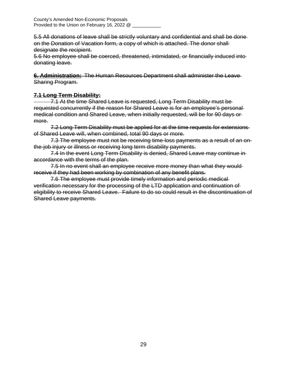5.5 All donations of leave shall be strictly voluntary and confidential and shall be done on the Donation of Vacation form, a copy of which is attached. The donor shall designate the recipient.

5.6 No employee shall be coerced, threatened, intimidated, or financially induced into donating leave.

**6. Administration:** The Human Resources Department shall administer the Leave Sharing Program.

## **7.1 Long Term Disability:**

 7.1 At the time Shared Leave is requested, Long Term Disability must be requested concurrently if the reason for Shared Leave is for an employee's personal medical condition and Shared Leave, when initially requested, will be for 90 days or more.

7.2 Long Term Disability must be applied for at the time requests for extensions of Shared Leave will, when combined, total 90 days or more.

7.3 The employee must not be receiving time-loss payments as a result of an onthe-job injury or illness or receiving long term disability payments.

7.4 In the event Long Term Disability is denied, Shared Leave may continue in accordance with the terms of the plan.

7.5 In no event shall an employee receive more money than what they would receive if they had been working by combination of any benefit plans.

7.6 The employee must provide timely information and periodic medical verification necessary for the processing of the LTD application and continuation of eligibility to receive Shared Leave. Failure to do so could result in the discontinuation of Shared Leave payments.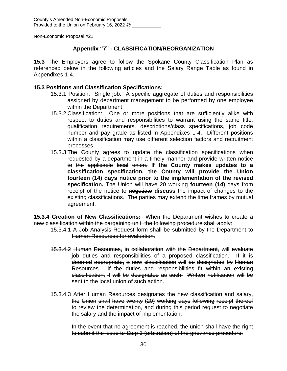## **Appendix "7" - CLASSIFICATION/REORGANIZATION**

**15.3** The Employers agree to follow the Spokane County Classification Plan as referenced below in the following articles and the Salary Range Table as found in Appendixes 1-4.

#### **15.3 Positions and Classification Specifications:**

- 15.3.1 Position: Single job. A specific aggregate of duties and responsibilities assigned by department management to be performed by one employee within the Department.
- 15.3.2 Classification: One or more positions that are sufficiently alike with respect to duties and responsibilities to warrant using the same title, qualification requirements, descriptions/class specifications, job code number and pay grade as listed in Appendixes 1-4. Different positions within a classification may use different selection factors and recruitment processes.
- 15.3.3 The County agrees to update the classification specifications when requested by a department in a timely manner and provide written notice to the applicable local union. **If the County makes updates to a classification specification, the County will provide the Union fourteen (14) days notice prior to the implementation of the revised specification.** The Union will have 20 working **fourteen (14)** days from receipt of the notice to negotiate **discuss** the impact of changes to the existing classifications. The parties may extend the time frames by mutual agreement.

**15.3.4 Creation of New Classifications:** When the Department wishes to create a new classification within the bargaining unit, the following procedure shall apply:

- 15.3.4.1 A Job Analysis Request form shall be submitted by the Department to Human Resources for evaluation.
- 15.3.4.2 Human Resources, in collaboration with the Department, will evaluate job duties and responsibilities of a proposed classification. If it is deemed appropriate, a new classification will be designated by Human Resources. If the duties and responsibilities fit within an existing classification, it will be designated as such. Written notification will be sent to the local union of such action.
- 15.3.4.3 After Human Resources designates the new classification and salary, the Union shall have twenty (20) working days following receipt thereof to review the determination, and during this period request to negotiate the salary and the impact of implementation.

In the event that no agreement is reached, the union shall have the right to submit the issue to Step 3 (arbitration) of the grievance procedure.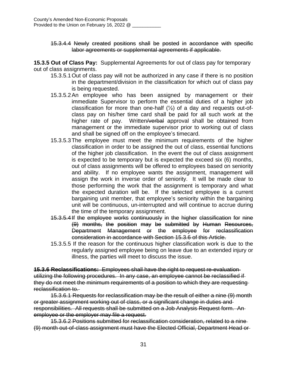15.3.4.4 Newly created positions shall be posted in accordance with specific labor agreements or supplemental agreements if applicable.

**15.3.5 Out of Class Pay:** Supplemental Agreements for out of class pay for temporary out of class assignments.

- 15.3.5.1Out of class pay will not be authorized in any case if there is no position in the department/division in the classification for which out of class pay is being requested.
- 15.3.5.2An employee who has been assigned by management or their immediate Supervisor to perform the essential duties of a higher job classification for more than one-half  $(\frac{1}{2})$  of a day and requests out-ofclass pay on his/her time card shall be paid for all such work at the higher rate of pay. Written/verbal approval shall be obtained from management or the immediate supervisor prior to working out of class and shall be signed off on the employee's timecard.
- 15.3.5.3The employee must meet the minimum requirements of the higher classification in order to be assigned the out of class, essential functions of the higher job classification. In the event the out of class assignment is expected to be temporary but is expected the exceed six (6) months, out of class assignments will be offered to employees based on seniority and ability. If no employee wants the assignment, management will assign the work in inverse order of seniority. It will be made clear to those performing the work that the assignment is temporary and what the expected duration will be. If the selected employee is a current bargaining unit member, that employee's seniority within the bargaining unit will be continuous, un-interrupted and will continue to accrue during the time of the temporary assignment.
- 15.3.5.4If the employee works continuously in the higher classification for nine (9) months, the position may be submitted by Human Resources, Department Management or the employee for reclassification consideration in accordance with Section 15.3.6 of this Article.
- 15.3.5.5 If the reason for the continuous higher classification work is due to the regularly assigned employee being on leave due to an extended injury or illness, the parties will meet to discuss the issue.

**15.3.6 Reclassifications:** Employees shall have the right to request re-evaluation utilizing the following procedures. In any case, an employee cannot be reclassified if they do not meet the minimum requirements of a position to which they are requesting reclassification to.

15.3.6.1 Requests for reclassification may be the result of either a nine (9) month or greater assignment working out of class, or a significant change in duties and responsibilities. All requests shall be submitted on a Job Analysis Request form. An employee or the employer may file a request.

15.3.6.2 Positions submitted for reclassification consideration, related to a nine (9) month out-of-class assignment must have the Elected Official, Department Head or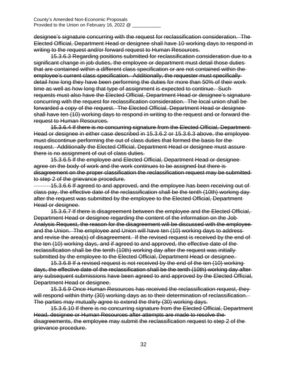designee's signature concurring with the request for reclassification consideration. The Elected Official, Department Head or designee shall have 10 working days to respond in writing to the request and/or forward request to Human Resources.

15.3.6.3 Regarding positions submitted for reclassification consideration due to a significant change in job duties, the employee or department must detail those duties that are contained within a different class specification or are not contained within the employee's current class specification. Additionally, the requester must specifically detail how long they have been performing the duties for more than 50% of their work time as well as how long that type of assignment is expected to continue. Such requests must also have the Elected Official, Department Head or designee's signature concurring with the request for reclassification consideration. The local union shall be forwarded a copy of the request. The Elected Official, Department Head or designee shall have ten (10) working days to respond in writing to the request and or forward the request to Human Resources.

15.3.6.4 If there is no concurring signature from the Elected Official, Department Head or designee in either case described in 15.3.6.2 or 15.3.6.3 above, the employee must discontinue performing the out of class duties that formed the basis for the request. Additionally the Elected Official, Department Head or designee must assure there is no assignment of out of class duties.

15.3.6.5 If the employee and Elected Official, Department Head or designee agree on the body of work and the work continues to be assigned but there is disagreement on the proper classification the reclassification request may be submitted to step 2 of the grievance procedure.

 15.3.6.6 If agreed to and approved, and the employee has been receiving out of class pay, the effective date of the reclassification shall be the tenth (10th) working day after the request was submitted by the employee to the Elected Official, Department Head or designee.

15.3.6.7 If there is disagreement between the employee and the Elected Official, Department Head or designee regarding the content of the information on the Job Analysis Request, the reason for the disagreement will be discussed with the employee and the Union. The employee and Union will have ten (10) working days to address and revise the area(s) of disagreement. If the revised request is received by the end of the ten (10) working days, and if agreed to and approved, the effective date of the reclassification shall be the tenth (10th) working day after the request was initially submitted by the employee to the Elected Official, Department Head or designee.

15.3.6.8 If a revised request is not received by the end of the ten (10) working days, the effective date of the reclassification shall be the tenth (10th) working day after any subsequent submissions have been agreed to and approved by the Elected Official, Department Head or designee.

15.3.6.9 Once Human Resources has received the reclassification request, they will respond within thirty (30) working days as to their determination of reclassification. The parties may mutually agree to extend the thirty (30) working days.

15.3.6.10 If there is no concurring signature from the Elected Official, Department Head, designee or Human Resources after attempts are made to resolve the disagreements, the employee may submit the reclassification request to step 2 of the grievance procedure.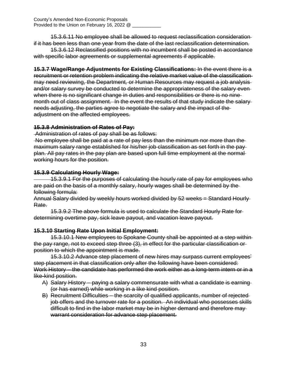15.3.6.11 No employee shall be allowed to request reclassification consideration if it has been less than one year from the date of the last reclassification determination.

15.3.6.12 Reclassified positions with no incumbent shall be posted in accordance with specific labor agreements or supplemental agreements if applicable.

**15.3.7 Wage/Range Adjustments for Existing Classifications:** In the event there is a recruitment or retention problem indicating the relative market value of the classification may need reviewing, the Department*,* or Human Resources may request a job analysis and/or salary survey be conducted to determine the appropriateness of the salary even when there is no significant change in duties and responsibilities or there is no ninemonth out of class assignment. In the event the results of that study indicate the salary needs adjusting, the parties agree to negotiate the salary and the impact of the adjustment on the affected employees.

## **15.3.8 Administration of Rates of Pay:**

Administration of rates of pay shall be as follows:

No employee shall be paid at a rate of pay less than the minimum nor more than the maximum salary range established for his/her job classification as set forth in the pay plan. All pay rates in the pay plan are based upon full time employment at the normal working hours for the position.

## **15.3.9 Calculating Hourly Wage:**

 15.3.9.1 For the purposes of calculating the hourly rate of pay for employees who are paid on the basis of a monthly salary, hourly wages shall be determined by the following formula:

Annual Salary divided by weekly hours worked divided by 52 weeks = Standard Hourly Rate.

15.3.9.2 The above formula is used to calculate the Standard Hourly Rate for determining overtime pay, sick leave payout, and vacation leave payout.

## **15.3.10 Starting Rate Upon Initial Employment:**

15.3.10.1 New employees to Spokane County shall be appointed at a step within the pay range, not to exceed step three (3), in effect for the particular classification or position to which the appointment is made.

15.3.10.2 Advance step placement of new hires may surpass current employees' step placement in that classification only after the following have been considered: Work History – the candidate has performed the work either as a long-term intern or in a like-kind position.

- A) Salary History paying a salary commensurate with what a candidate is earning (or has earned) while working in a like kind position.
- B) Recruitment Difficulties the scarcity of qualified applicants, number of rejected job offers and the turnover rate for a position. An individual who possesses skills difficult to find in the labor market may be in higher demand and therefore may warrant consideration for advance step placement.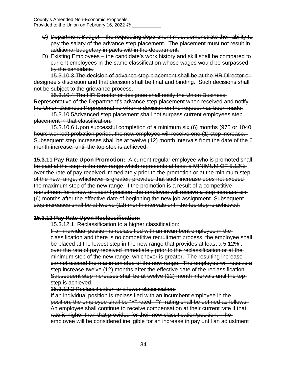- C) Department Budget the requesting department must demonstrate their ability to pay the salary of the advance step placement. The placement must not result in additional budgetary impacts within the department.
- D) Existing Employees the candidate's work history and skill shall be compared to current employees in the same classification whose wages would be surpassed by the candidate.

15.3.10.3 The decision of advance step placement shall be at the HR Director or designee's discretion and that decision shall be final and binding. Such decisions shall not be subject to the grievance process.

15.3.10.4 The HR Director or designee shall notify the Union Business Representative of the Department's advance step placement when received and notify the Union Business Representative when a decision on the request has been made.

. 15.3.10.5Advanced step placement shall not surpass current employees step placement in that classification.

15.3.10.6 Upon successful completion of a minimum six (6) months (975 or 1040 hours worked) probation period, the new employee will receive one (1) step increase. Subsequent step increases shall be at twelve (12) month intervals from the date of the 6 month increase, until the top step is achieved.

**15.3.11 Pay Rate Upon Promotion:** A current regular employee who is promoted shall be paid at the step in the new range which represents at least a MINIMUM OF 5.12% over the rate of pay received immediately prior to the promotion or at the minimum step of the new range, whichever is greater, provided that such increase does not exceed the maximum step of the new range. If the promotion is a result of a competitive recruitment for a new or vacant position, the employee will receive a step increase six (6) months after the effective date of beginning the new job assignment. Subsequent step increases shall be at twelve (12) month intervals until the top step is achieved.

## **15.3.12 Pay Rate Upon Reclassification:**

15.3.12.1 Reclassification to a higher classification:

If an individual position is reclassified with an incumbent employee in the classification and there is no competitive recruitment process, the employee shall be placed at the lowest step in the new range that provides at least a 5.12%, over the rate of pay received immediately prior to the reclassification or at the minimum step of the new range, whichever is greater. The resulting increase cannot exceed the maximum step of the new range. The employee will receive a step increase twelve (12) months after the effective date of the reclassification. Subsequent step increases shall be at twelve (12) month intervals until the top step is achieved.

15.3.12.2 Reclassification to a lower classification:

If an individual position is reclassified with an incumbent employee in the position, the employee shall be "Y" rated. "Y" rating shall be defined as follows: An employee shall continue to receive compensation at their current rate if that rate is higher than that provided for their new classification/position. The employee will be considered ineligible for an increase in pay until an adjustment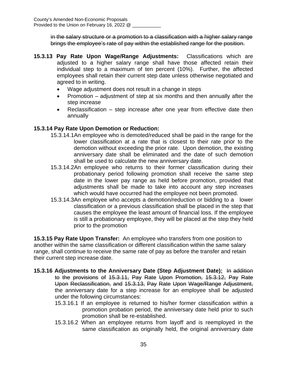in the salary structure or a promotion to a classification with a higher salary range brings the employee's rate of pay within the established range for the position.

- **15.3.13 Pay Rate Upon Wage/Range Adjustments:** Classifications which are adjusted to a higher salary range shall have those affected retain their individual step to a maximum of ten percent (10%). Further, the affected employees shall retain their current step date unless otherwise negotiated and agreed to in writing.
	- Wage adjustment does not result in a change in steps
	- Promotion  $-$  adjustment of step at six months and then annually after the step increase
	- Reclassification step increase after one year from effective date then annually

## **15.3.14 Pay Rate Upon Demotion or Reduction:**

- 15.3.14.1An employee who is demoted/reduced shall be paid in the range for the lower classification at a rate that is closest to their rate prior to the demotion without exceeding the prior rate. Upon demotion, the existing anniversary date shall be eliminated and the date of such demotion shall be used to calculate the new anniversary date.
- 15.3.14.2An employee who returns to their former classification during their probationary period following promotion shall receive the same step date in the lower pay range as held before promotion, provided that adjustments shall be made to take into account any step increases which would have occurred had the employee not been promoted.
- 15.3.14.3An employee who accepts a demotion/reduction or bidding to a lower classification or a previous classification shall be placed in the step that causes the employee the least amount of financial loss. If the employee is still a probationary employee, they will be placed at the step they held prior to the promotion

**15.3.15 Pay Rate Upon Transfer:** An employee who transfers from one position to another within the same classification or different classification within the same salary range, shall continue to receive the same rate of pay as before the transfer and retain their current step increase date.

- **15.3.16 Adjustments to the Anniversary Date (Step Adjustment Date):** In addition to the provisions of 15.3.11, Pay Rate Upon Promotion, 15.3.12, Pay Rate Upon Reclassification, and 15.3.13, Pay Rate Upon Wage/Range Adjustment, the anniversary date for a step increase for an employee shall be adjusted under the following circumstances:
	- 15.3.16.1 If an employee is returned to his/her former classification within a promotion probation period, the anniversary date held prior to such promotion shall be re-established.
	- 15.3.16.2 When an employee returns from layoff and is reemployed in the same classification as originally held, the original anniversary date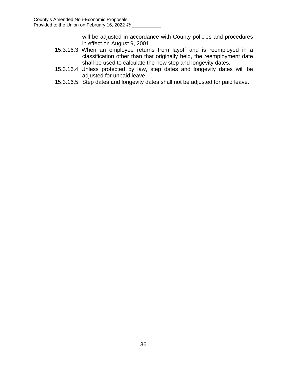will be adjusted in accordance with County policies and procedures in effect on August 9, 2001.

- 15.3.16.3 When an employee returns from layoff and is reemployed in a classification other than that originally held, the reemployment date shall be used to calculate the new step and longevity dates.
- 15.3.16.4 Unless protected by law, step dates and longevity dates will be adjusted for unpaid leave.
- 15.3.16.5 Step dates and longevity dates shall not be adjusted for paid leave.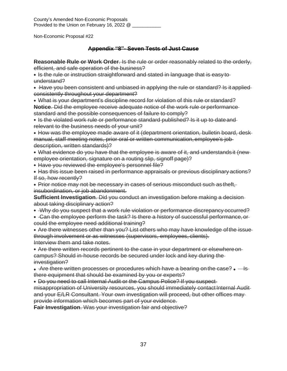County's Amended Non-Economic Proposals Provided to the Union on February 16, 2022 @

Non-Economic Proposal #22

## **Appendix "8"- Seven Tests of Just Cause**

**Reasonable Rule or Work Order**. Is the rule or order reasonably related to the orderly, efficient, and safe operation of the business?

• Is the rule or instruction straightforward and stated in language that is easy to understand?

Have you been consistent and unbiased in applying the rule or standard? Is it applied consistently throughout your department?

What is your department's discipline record for violation of this rule or standard? **Notice**. Did the employee receive adequate notice of the work rule or performance standard and the possible consequences of failure to comply?

• Is the violated work rule or performance standard published? Is it up to date and relevant to the business needs of your unit?

• How was the employee made aware of it (department orientation, bulletin board, deskmanual, staff meeting notes, prior oral or written communication, employee's job description, written standards)?

What evidence do you have that the employee is aware of it, and understands it (new employee orientation, signature on a routing slip, signoff page)?

- Have you reviewed the employee's personnel file?
- Has this issue been raised in performance appraisals or previous disciplinary actions? If so, how recently?

Prior notice may not be necessary in cases of serious misconduct such as theft, insubordination, or job abandonment.

**Sufficient Investigation**. Did you conduct an investigation before making a decision about taking disciplinary action?

- Why do you suspect that a work rule violation or performance discrepancy occurred?
- Can the employee perform the task? Is there a history of successful performance, or could the employee need additional training?

Are there witnesses other than you? List others who may have knowledge ofthe issue through involvement or as witnesses (supervisors, employees, clients). Interview them and take notes.

Are there written records pertinent to the case in your department or elsewhereon campus? Should in-house records be secured under lock and key during the investigation?

- $\bullet$  -Are there written processes or procedures which have a bearing on the case?  $\bullet$  Isthere equipment that should be examined by you or experts?
- Do you need to call Internal Audit or the Campus Police? If you suspect-

misappropriation of University resources, you should immediately contact Internal Audit and your E/LR Consultant. Your own investigation will proceed, but other offices may provide information which becomes part of your evidence.

**Fair Investigation**. Was your investigation fair and objective?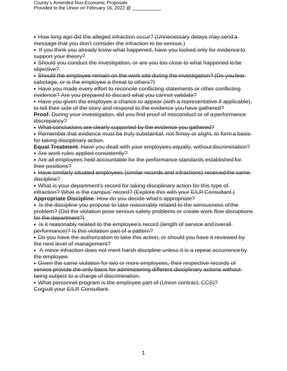County's Amended Non-Economic Proposals Provided to the Union on February 16, 2022 @

- How long ago did the alleged infraction occur? (Unnecessary delays may send a message that you don't consider the infraction to be serious.)
- If you think you already know what happened, have you looked only for evidence to support your theory?
- Should you conduct the investigation, or are you too close to what happened tobe objective?
- Should the employee remain on the work site during the investigation? (Do youfear sabotage, or is the employee a threat to others?)
- Have you made every effort to reconcile conflicting statements or other conflicting evidence? Are you prepared to discard what you cannot validate?
- Have you given the employee a chance to appear (with a representative if applicable), to tell their side of the story and respond to the evidence youhave gathered?
- **Proof.** During your investigation, did you find proof of misconduct or of a performance discrepancy?
- What conclusions are clearly supported by the evidence you gathered?
- Remember that evidence must be truly substantial, not flimsy or slight, to form a basis for taking disciplinary action.
- **Equal Treatment**. Have you dealt with your employees equally, without discrimination? Are work rules applied consistently?
- Are all employees held accountable for the performance standards established for their positions?
- Have similarly situated employees (similar records and infractions) received the same discipline?
- What is your department's record for taking disciplinary action for this type of infraction? What is the campus' record? (Explore this with your E/LR Consultant.)
- **Appropriate Discipline**. How do you decide what's appropriate?
- Is the discipline you propose to take reasonably related to the seriousness of the problem? (Did the violation pose serious safety problems or create work flow disruptions for the department?)
- Is it reasonably related to the employee's record (length of service and overall performance)? Is this violation part of a pattern?
- Do you have the authorization to take this action, or should you have it reviewed bythe next level of management?
- A minor infraction does not merit harsh discipline unless it is a repeat occurrence by the employee.
- Given the same violation for two or more employees, their respective records of service provide the only basis for administering different disciplinary actions withoutbeing subject to a charge of discrimination.
- What personnel program is the employee part of (Union contract, CCS)? Consult your E/LR Consultant.